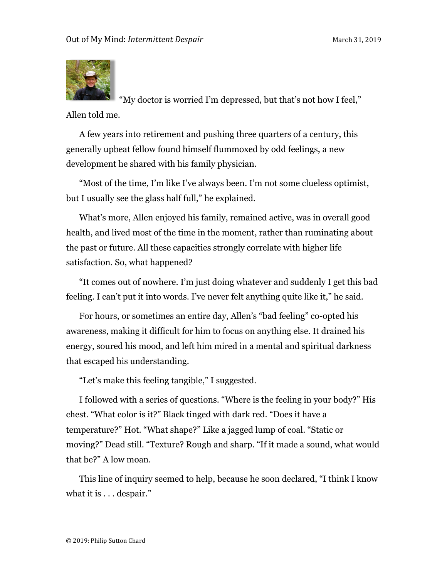

"My doctor is worried I'm depressed, but that's not how I feel," Allen told me.

A few years into retirement and pushing three quarters of a century, this generally upbeat fellow found himself flummoxed by odd feelings, a new development he shared with his family physician.

"Most of the time, I'm like I've always been. I'm not some clueless optimist, but I usually see the glass half full," he explained.

What's more, Allen enjoyed his family, remained active, was in overall good health, and lived most of the time in the moment, rather than ruminating about the past or future. All these capacities strongly correlate with higher life satisfaction. So, what happened?

"It comes out of nowhere. I'm just doing whatever and suddenly I get this bad feeling. I can't put it into words. I've never felt anything quite like it," he said.

For hours, or sometimes an entire day, Allen's "bad feeling" co-opted his awareness, making it difficult for him to focus on anything else. It drained his energy, soured his mood, and left him mired in a mental and spiritual darkness that escaped his understanding.

"Let's make this feeling tangible," I suggested.

I followed with a series of questions. "Where is the feeling in your body?" His chest. "What color is it?" Black tinged with dark red. "Does it have a temperature?" Hot. "What shape?" Like a jagged lump of coal. "Static or moving?" Dead still. "Texture? Rough and sharp. "If it made a sound, what would that be?" A low moan.

This line of inquiry seemed to help, because he soon declared, "I think I know what it is . . . despair."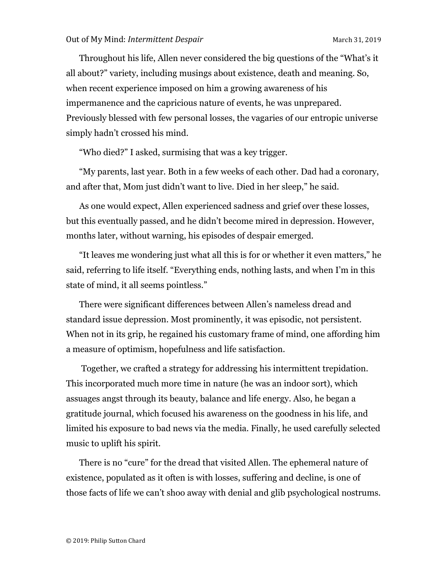Throughout his life, Allen never considered the big questions of the "What's it all about?" variety, including musings about existence, death and meaning. So, when recent experience imposed on him a growing awareness of his impermanence and the capricious nature of events, he was unprepared. Previously blessed with few personal losses, the vagaries of our entropic universe simply hadn't crossed his mind.

"Who died?" I asked, surmising that was a key trigger.

"My parents, last year. Both in a few weeks of each other. Dad had a coronary, and after that, Mom just didn't want to live. Died in her sleep," he said.

As one would expect, Allen experienced sadness and grief over these losses, but this eventually passed, and he didn't become mired in depression. However, months later, without warning, his episodes of despair emerged.

"It leaves me wondering just what all this is for or whether it even matters," he said, referring to life itself. "Everything ends, nothing lasts, and when I'm in this state of mind, it all seems pointless."

There were significant differences between Allen's nameless dread and standard issue depression. Most prominently, it was episodic, not persistent. When not in its grip, he regained his customary frame of mind, one affording him a measure of optimism, hopefulness and life satisfaction.

Together, we crafted a strategy for addressing his intermittent trepidation. This incorporated much more time in nature (he was an indoor sort), which assuages angst through its beauty, balance and life energy. Also, he began a gratitude journal, which focused his awareness on the goodness in his life, and limited his exposure to bad news via the media. Finally, he used carefully selected music to uplift his spirit.

There is no "cure" for the dread that visited Allen. The ephemeral nature of existence, populated as it often is with losses, suffering and decline, is one of those facts of life we can't shoo away with denial and glib psychological nostrums.